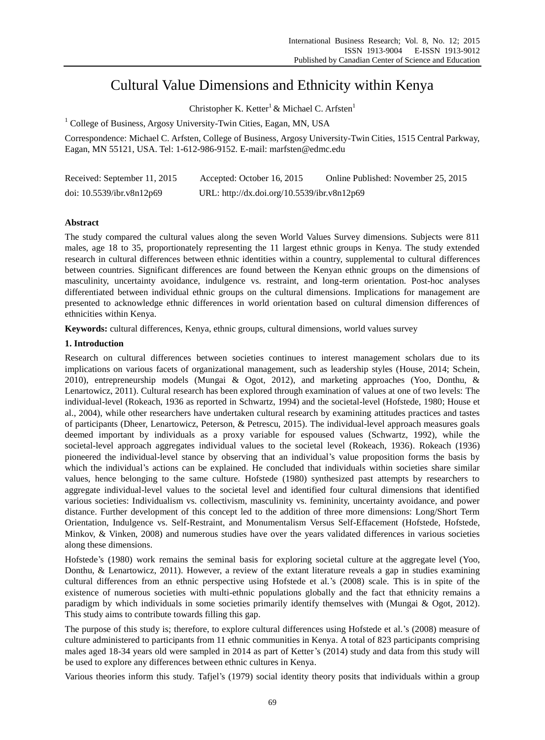# Cultural Value Dimensions and Ethnicity within Kenya

Christopher K. Ketter<sup>1</sup> & Michael C. Arfsten<sup>1</sup>

<sup>1</sup> College of Business, Argosy University-Twin Cities, Eagan, MN, USA

Correspondence: Michael C. Arfsten, College of Business, Argosy University-Twin Cities, 1515 Central Parkway, Eagan, MN 55121, USA. Tel: 1-612-986-9152. E-mail: marfsten@edmc.edu

| Received: September 11, 2015 | Accepted: October 16, 2015                  | Online Published: November 25, 2015 |
|------------------------------|---------------------------------------------|-------------------------------------|
| doi: $10.5539$ /ibr.v8n12p69 | URL: http://dx.doi.org/10.5539/ibr.v8n12p69 |                                     |

# **Abstract**

The study compared the cultural values along the seven World Values Survey dimensions. Subjects were 811 males, age 18 to 35, proportionately representing the 11 largest ethnic groups in Kenya. The study extended research in cultural differences between ethnic identities within a country, supplemental to cultural differences between countries. Significant differences are found between the Kenyan ethnic groups on the dimensions of masculinity, uncertainty avoidance, indulgence vs. restraint, and long-term orientation. Post-hoc analyses differentiated between individual ethnic groups on the cultural dimensions. Implications for management are presented to acknowledge ethnic differences in world orientation based on cultural dimension differences of ethnicities within Kenya.

**Keywords:** cultural differences, Kenya, ethnic groups, cultural dimensions, world values survey

# **1. Introduction**

Research on cultural differences between societies continues to interest management scholars due to its implications on various facets of organizational management, such as leadership styles (House, 2014; Schein, 2010), entrepreneurship models (Mungai & Ogot, 2012), and marketing approaches (Yoo, Donthu, & Lenartowicz, 2011). Cultural research has been explored through examination of values at one of two levels: The individual-level (Rokeach, 1936 as reported in Schwartz, 1994) and the societal-level (Hofstede, 1980; House et al., 2004), while other researchers have undertaken cultural research by examining attitudes practices and tastes of participants (Dheer, Lenartowicz, Peterson, & Petrescu, 2015). The individual-level approach measures goals deemed important by individuals as a proxy variable for espoused values (Schwartz, 1992), while the societal-level approach aggregates individual values to the societal level (Rokeach, 1936). Rokeach (1936) pioneered the individual-level stance by observing that an individual's value proposition forms the basis by which the individual's actions can be explained. He concluded that individuals within societies share similar values, hence belonging to the same culture. Hofstede (1980) synthesized past attempts by researchers to aggregate individual-level values to the societal level and identified four cultural dimensions that identified various societies: Individualism vs. collectivism, masculinity vs. femininity, uncertainty avoidance, and power distance. Further development of this concept led to the addition of three more dimensions: Long/Short Term Orientation, Indulgence vs. Self-Restraint, and Monumentalism Versus Self-Effacement (Hofstede, Hofstede, Minkov, & Vinken, 2008) and numerous studies have over the years validated differences in various societies along these dimensions.

Hofstede's (1980) work remains the seminal basis for exploring societal culture at the aggregate level (Yoo, Donthu, & Lenartowicz, 2011). However, a review of the extant literature reveals a gap in studies examining cultural differences from an ethnic perspective using Hofstede et al.'s (2008) scale. This is in spite of the existence of numerous societies with multi-ethnic populations globally and the fact that ethnicity remains a paradigm by which individuals in some societies primarily identify themselves with (Mungai & Ogot, 2012). This study aims to contribute towards filling this gap.

The purpose of this study is; therefore, to explore cultural differences using Hofstede et al.'s (2008) measure of culture administered to participants from 11 ethnic communities in Kenya. A total of 823 participants comprising males aged 18-34 years old were sampled in 2014 as part of Ketter's (2014) study and data from this study will be used to explore any differences between ethnic cultures in Kenya.

Various theories inform this study. Tafjel's (1979) social identity theory posits that individuals within a group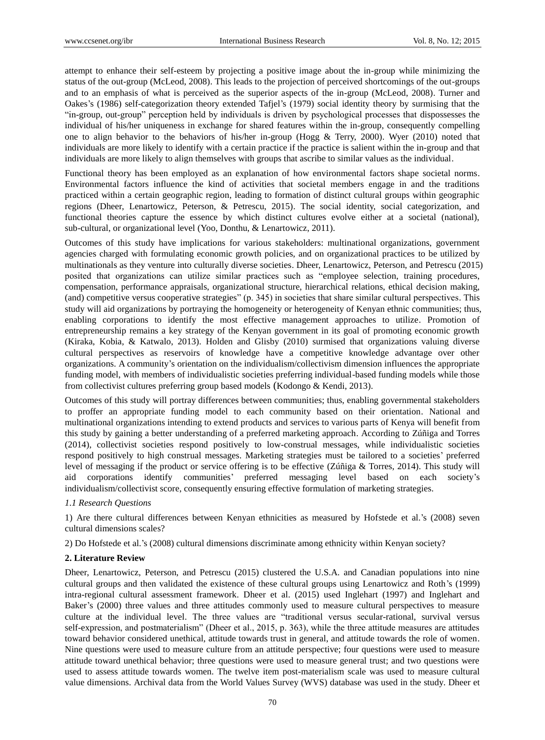attempt to enhance their self-esteem by projecting a positive image about the in-group while minimizing the status of the out-group (McLeod, 2008). This leads to the projection of perceived shortcomings of the out-groups and to an emphasis of what is perceived as the superior aspects of the in-group (McLeod, 2008). Turner and Oakes's (1986) self-categorization theory extended Tafjel's (1979) social identity theory by surmising that the "in-group, out-group" perception held by individuals is driven by psychological processes that dispossesses the individual of his/her uniqueness in exchange for shared features within the in-group, consequently compelling one to align behavior to the behaviors of his/her in-group (Hogg & Terry, 2000). Wyer (2010) noted that individuals are more likely to identify with a certain practice if the practice is salient within the in-group and that individuals are more likely to align themselves with groups that ascribe to similar values as the individual.

Functional theory has been employed as an explanation of how environmental factors shape societal norms. Environmental factors influence the kind of activities that societal members engage in and the traditions practiced within a certain geographic region, leading to formation of distinct cultural groups within geographic regions (Dheer, Lenartowicz, Peterson, & Petrescu, 2015). The social identity, social categorization, and functional theories capture the essence by which distinct cultures evolve either at a societal (national), sub-cultural, or organizational level (Yoo, Donthu, & Lenartowicz, 2011).

Outcomes of this study have implications for various stakeholders: multinational organizations, government agencies charged with formulating economic growth policies, and on organizational practices to be utilized by multinationals as they venture into culturally diverse societies. Dheer, Lenartowicz, Peterson, and Petrescu (2015) posited that organizations can utilize similar practices such as "employee selection, training procedures, compensation, performance appraisals, organizational structure, hierarchical relations, ethical decision making, (and) competitive versus cooperative strategies" (p. 345) in societies that share similar cultural perspectives. This study will aid organizations by portraying the homogeneity or heterogeneity of Kenyan ethnic communities; thus, enabling corporations to identify the most effective management approaches to utilize. Promotion of entrepreneurship remains a key strategy of the Kenyan government in its goal of promoting economic growth (Kiraka, Kobia, & Katwalo, 2013). Holden and Glisby (2010) surmised that organizations valuing diverse cultural perspectives as reservoirs of knowledge have a competitive knowledge advantage over other organizations. A community's orientation on the individualism/collectivism dimension influences the appropriate funding model, with members of individualistic societies preferring individual-based funding models while those from collectivist cultures preferring group based models (Kodongo & Kendi, 2013).

Outcomes of this study will portray differences between communities; thus, enabling governmental stakeholders to proffer an appropriate funding model to each community based on their orientation. National and multinational organizations intending to extend products and services to various parts of Kenya will benefit from this study by gaining a better understanding of a preferred marketing approach. According to Zúñiga and Torres (2014), collectivist societies respond positively to low-construal messages, while individualistic societies respond positively to high construal messages. Marketing strategies must be tailored to a societies' preferred level of messaging if the product or service offering is to be effective (Zúñiga & Torres, 2014). This study will aid corporations identify communities' preferred messaging level based on each society's individualism/collectivist score, consequently ensuring effective formulation of marketing strategies.

# *1.1 Research Questions*

1) Are there cultural differences between Kenyan ethnicities as measured by Hofstede et al.'s (2008) seven cultural dimensions scales?

2) Do Hofstede et al.'s (2008) cultural dimensions discriminate among ethnicity within Kenyan society?

# **2. Literature Review**

Dheer, Lenartowicz, Peterson, and Petrescu (2015) clustered the U.S.A. and Canadian populations into nine cultural groups and then validated the existence of these cultural groups using Lenartowicz and Roth's (1999) intra-regional cultural assessment framework. Dheer et al. (2015) used Inglehart (1997) and Inglehart and Baker's (2000) three values and three attitudes commonly used to measure cultural perspectives to measure culture at the individual level. The three values are "traditional versus secular-rational, survival versus self-expression, and postmaterialism" (Dheer et al., 2015, p. 363), while the three attitude measures are attitudes toward behavior considered unethical, attitude towards trust in general, and attitude towards the role of women. Nine questions were used to measure culture from an attitude perspective; four questions were used to measure attitude toward unethical behavior; three questions were used to measure general trust; and two questions were used to assess attitude towards women. The twelve item post-materialism scale was used to measure cultural value dimensions. Archival data from the World Values Survey (WVS) database was used in the study. Dheer et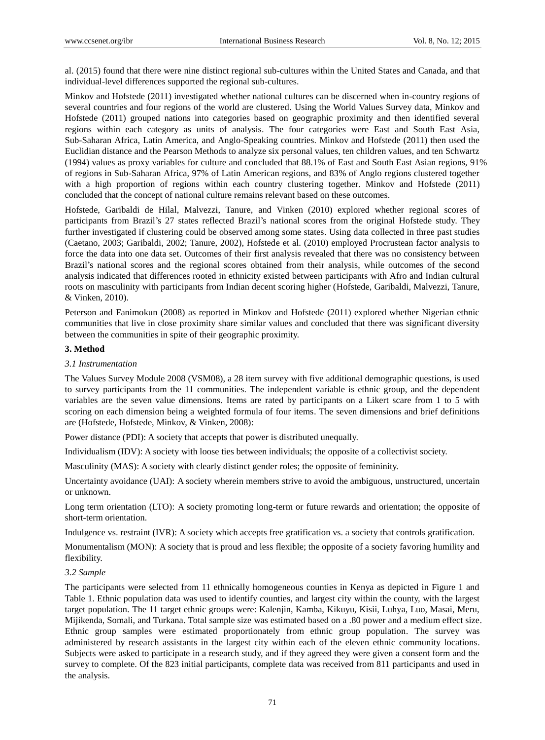al. (2015) found that there were nine distinct regional sub-cultures within the United States and Canada, and that individual-level differences supported the regional sub-cultures.

Minkov and Hofstede (2011) investigated whether national cultures can be discerned when in-country regions of several countries and four regions of the world are clustered. Using the World Values Survey data, Minkov and Hofstede (2011) grouped nations into categories based on geographic proximity and then identified several regions within each category as units of analysis. The four categories were East and South East Asia, Sub-Saharan Africa, Latin America, and Anglo-Speaking countries. Minkov and Hofstede (2011) then used the Euclidian distance and the Pearson Methods to analyze six personal values, ten children values, and ten Schwartz (1994) values as proxy variables for culture and concluded that 88.1% of East and South East Asian regions, 91% of regions in Sub-Saharan Africa, 97% of Latin American regions, and 83% of Anglo regions clustered together with a high proportion of regions within each country clustering together. Minkov and Hofstede (2011) concluded that the concept of national culture remains relevant based on these outcomes.

Hofstede, Garibaldi de Hilal, Malvezzi, Tanure, and Vinken (2010) explored whether regional scores of participants from Brazil's 27 states reflected Brazil's national scores from the original Hofstede study. They further investigated if clustering could be observed among some states. Using data collected in three past studies (Caetano, 2003; Garibaldi, 2002; Tanure, 2002), Hofstede et al. (2010) employed Procrustean factor analysis to force the data into one data set. Outcomes of their first analysis revealed that there was no consistency between Brazil's national scores and the regional scores obtained from their analysis, while outcomes of the second analysis indicated that differences rooted in ethnicity existed between participants with Afro and Indian cultural roots on masculinity with participants from Indian decent scoring higher (Hofstede, Garibaldi, Malvezzi, Tanure, & Vinken, 2010).

Peterson and Fanimokun (2008) as reported in Minkov and Hofstede (2011) explored whether Nigerian ethnic communities that live in close proximity share similar values and concluded that there was significant diversity between the communities in spite of their geographic proximity.

# **3. Method**

# *3.1 Instrumentation*

The Values Survey Module 2008 (VSM08), a 28 item survey with five additional demographic questions, is used to survey participants from the 11 communities. The independent variable is ethnic group, and the dependent variables are the seven value dimensions. Items are rated by participants on a Likert scare from 1 to 5 with scoring on each dimension being a weighted formula of four items. The seven dimensions and brief definitions are (Hofstede, Hofstede, Minkov, & Vinken, 2008):

Power distance (PDI): A society that accepts that power is distributed unequally.

Individualism (IDV): A society with loose ties between individuals; the opposite of a collectivist society.

Masculinity (MAS): A society with clearly distinct gender roles; the opposite of femininity.

Uncertainty avoidance (UAI): A society wherein members strive to avoid the ambiguous, unstructured, uncertain or unknown.

Long term orientation (LTO): A society promoting long-term or future rewards and orientation; the opposite of short-term orientation.

Indulgence vs. restraint (IVR): A society which accepts free gratification vs. a society that controls gratification.

Monumentalism (MON): A society that is proud and less flexible; the opposite of a society favoring humility and flexibility.

# *3.2 Sample*

The participants were selected from 11 ethnically homogeneous counties in Kenya as depicted in Figure 1 and Table 1. Ethnic population data was used to identify counties, and largest city within the county, with the largest target population. The 11 target ethnic groups were: Kalenjin, Kamba, Kikuyu, Kisii, Luhya, Luo, Masai, Meru, Mijikenda, Somali, and Turkana. Total sample size was estimated based on a .80 power and a medium effect size. Ethnic group samples were estimated proportionately from ethnic group population. The survey was administered by research assistants in the largest city within each of the eleven ethnic community locations. Subjects were asked to participate in a research study, and if they agreed they were given a consent form and the survey to complete. Of the 823 initial participants, complete data was received from 811 participants and used in the analysis.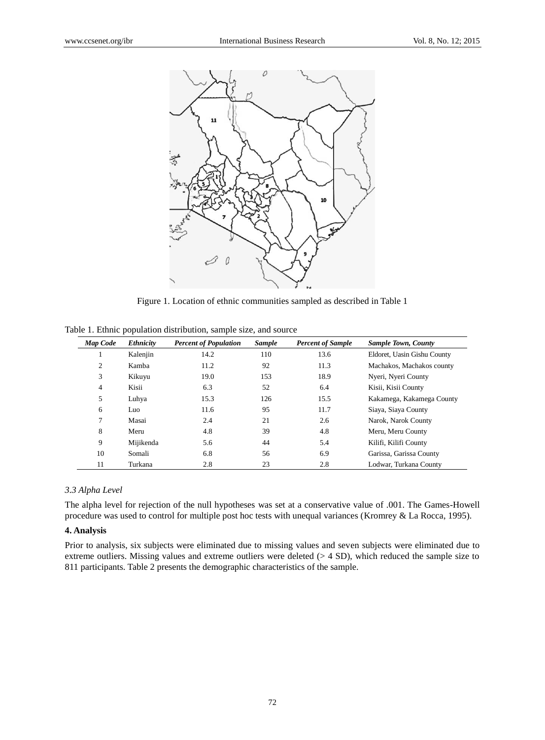

Figure 1. Location of ethnic communities sampled as described in Table 1

| <b>Map Code</b> | <b>Ethnicity</b> | <b>Percent of Population</b> | <b>Sample</b> | <b>Percent of Sample</b> | <b>Sample Town, County</b>  |
|-----------------|------------------|------------------------------|---------------|--------------------------|-----------------------------|
|                 | Kalenjin         | 14.2                         | 110           | 13.6                     | Eldoret, Uasin Gishu County |
| 2               | Kamba            | 11.2                         | 92            | 11.3                     | Machakos, Machakos county   |
| 3               | Kikuyu           | 19.0                         | 153           | 18.9                     | Nyeri, Nyeri County         |
| 4               | Kisii            | 6.3                          | 52            | 6.4                      | Kisii, Kisii County         |
| 5               | Luhya            | 15.3                         | 126           | 15.5                     | Kakamega, Kakamega County   |
| 6               | Luo              | 11.6                         | 95            | 11.7                     | Siaya, Siaya County         |
| $\tau$          | Masai            | 2.4                          | 21            | 2.6                      | Narok, Narok County         |
| 8               | Meru             | 4.8                          | 39            | 4.8                      | Meru, Meru County           |
| 9               | Mijikenda        | 5.6                          | 44            | 5.4                      | Kilifi, Kilifi County       |
| 10              | Somali           | 6.8                          | 56            | 6.9                      | Garissa, Garissa County     |
| 11              | Turkana          | 2.8                          | 23            | 2.8                      | Lodwar, Turkana County      |

Table 1. Ethnic population distribution, sample size, and source

# *3.3 Alpha Level*

The alpha level for rejection of the null hypotheses was set at a conservative value of .001. The Games-Howell procedure was used to control for multiple post hoc tests with unequal variances (Kromrey & La Rocca, 1995).

# **4. Analysis**

Prior to analysis, six subjects were eliminated due to missing values and seven subjects were eliminated due to extreme outliers. Missing values and extreme outliers were deleted (> 4 SD), which reduced the sample size to 811 participants. Table 2 presents the demographic characteristics of the sample.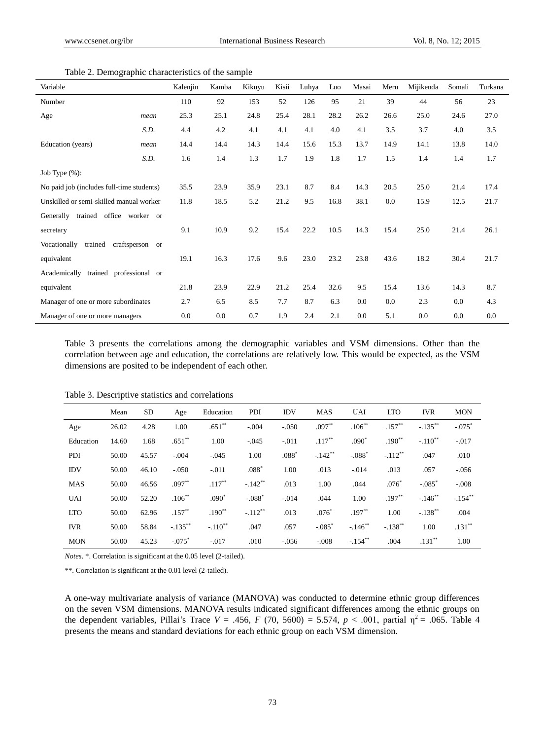| Variable                                  |                           | Kalenjin | Kamba | Kikuyu | Kisii | Luhya | Luo  | Masai | Meru | Mijikenda | Somali | Turkana |
|-------------------------------------------|---------------------------|----------|-------|--------|-------|-------|------|-------|------|-----------|--------|---------|
| Number                                    |                           | 110      | 92    | 153    | 52    | 126   | 95   | 21    | 39   | 44        | 56     | 23      |
| Age                                       | mean                      | 25.3     | 25.1  | 24.8   | 25.4  | 28.1  | 28.2 | 26.2  | 26.6 | 25.0      | 24.6   | 27.0    |
|                                           | S.D.                      | 4.4      | 4.2   | 4.1    | 4.1   | 4.1   | 4.0  | 4.1   | 3.5  | 3.7       | 4.0    | 3.5     |
| Education (years)                         | mean                      | 14.4     | 14.4  | 14.3   | 14.4  | 15.6  | 15.3 | 13.7  | 14.9 | 14.1      | 13.8   | 14.0    |
|                                           | S.D.                      | 1.6      | 1.4   | 1.3    | 1.7   | 1.9   | 1.8  | 1.7   | 1.5  | 1.4       | 1.4    | 1.7     |
| Job Type $(\%)$ :                         |                           |          |       |        |       |       |      |       |      |           |        |         |
| No paid job (includes full-time students) |                           | 35.5     | 23.9  | 35.9   | 23.1  | 8.7   | 8.4  | 14.3  | 20.5 | 25.0      | 21.4   | 17.4    |
| Unskilled or semi-skilled manual worker   |                           | 11.8     | 18.5  | 5.2    | 21.2  | 9.5   | 16.8 | 38.1  | 0.0  | 15.9      | 12.5   | 21.7    |
| Generally trained                         | office worker or          |          |       |        |       |       |      |       |      |           |        |         |
| secretary                                 |                           | 9.1      | 10.9  | 9.2    | 15.4  | 22.2  | 10.5 | 14.3  | 15.4 | 25.0      | 21.4   | 26.1    |
| Vocationally<br>trained                   | craftsperson<br><b>or</b> |          |       |        |       |       |      |       |      |           |        |         |
| equivalent                                |                           | 19.1     | 16.3  | 17.6   | 9.6   | 23.0  | 23.2 | 23.8  | 43.6 | 18.2      | 30.4   | 21.7    |
| Academically<br>trained professional or   |                           |          |       |        |       |       |      |       |      |           |        |         |
| equivalent                                |                           | 21.8     | 23.9  | 22.9   | 21.2  | 25.4  | 32.6 | 9.5   | 15.4 | 13.6      | 14.3   | 8.7     |
| Manager of one or more subordinates       |                           | 2.7      | 6.5   | 8.5    | 7.7   | 8.7   | 6.3  | 0.0   | 0.0  | 2.3       | 0.0    | 4.3     |
| Manager of one or more managers           |                           | 0.0      | 0.0   | 0.7    | 1.9   | 2.4   | 2.1  | 0.0   | 5.1  | 0.0       | 0.0    | 0.0     |

Table 2. Demographic characteristics of the sample

Table 3 presents the correlations among the demographic variables and VSM dimensions. Other than the correlation between age and education, the correlations are relatively low. This would be expected, as the VSM dimensions are posited to be independent of each other.

|            | Mean  | SD    | Age                  | Education             | PDI                   | <b>IDV</b> | <b>MAS</b>           | <b>UAI</b> | <b>LTO</b>            | <b>IVR</b>            | <b>MON</b>           |
|------------|-------|-------|----------------------|-----------------------|-----------------------|------------|----------------------|------------|-----------------------|-----------------------|----------------------|
| Age        | 26.02 | 4.28  | 1.00                 | $.651**$              | $-.004$               | $-.050$    | $.097**$             | $.106**$   | $.157***$             | $-.135***$            | $-.075$ <sup>*</sup> |
| Education  | 14.60 | 1.68  | $.651**$             | 1.00                  | $-.045$               | $-.011$    | $.117***$            | $.090*$    | $.190**$              | $-.110$ <sup>**</sup> | $-.017$              |
| PDI        | 50.00 | 45.57 | $-.004$              | $-.045$               | 1.00                  | $.088*$    | $-.142$ **           | $-.088*$   | $-.112**$             | .047                  | .010                 |
| <b>IDV</b> | 50.00 | 46.10 | $-.050$              | $-.011$               | $.088*$               | 1.00       | .013                 | $-.014$    | .013                  | .057                  | $-.056$              |
| <b>MAS</b> | 50.00 | 46.56 | $.097**$             | $.117***$             | $-.142$ <sup>**</sup> | .013       | 1.00                 | .044       | $.076*$               | $-.085$ <sup>*</sup>  | $-.008$              |
| <b>UAI</b> | 50.00 | 52.20 | $.106**$             | $.090*$               | $-.088*$              | $-.014$    | .044                 | 1.00       | $.197**$              | $-.146$ **            | $-.154$ **           |
| <b>LTO</b> | 50.00 | 62.96 | $.157**$             | $.190**$              | $-.112**$             | .013       | $.076*$              | $.197**$   | 1.00                  | $-.138$ <sup>**</sup> | .004                 |
| <b>IVR</b> | 50.00 | 58.84 | $-.135$ **           | $-.110$ <sup>**</sup> | .047                  | .057       | $-.085$ <sup>*</sup> | $-.146$ ** | $-.138$ <sup>**</sup> | 1.00                  | $.131***$            |
| <b>MON</b> | 50.00 | 45.23 | $-.075$ <sup>*</sup> | $-.017$               | .010                  | $-.056$    | $-.008$              | $-.154$ ** | .004                  | $.131**$              | 1.00                 |

Table 3. Descriptive statistics and correlations

*Notes.* \*. Correlation is significant at the 0.05 level (2-tailed).

\*\*. Correlation is significant at the 0.01 level (2-tailed).

A one-way multivariate analysis of variance (MANOVA) was conducted to determine ethnic group differences on the seven VSM dimensions. MANOVA results indicated significant differences among the ethnic groups on the dependent variables, Pillai's Trace  $V = .456$ ,  $F (70, 5600) = 5.574$ ,  $p < .001$ , partial  $\eta^2 = .065$ . Table 4 presents the means and standard deviations for each ethnic group on each VSM dimension.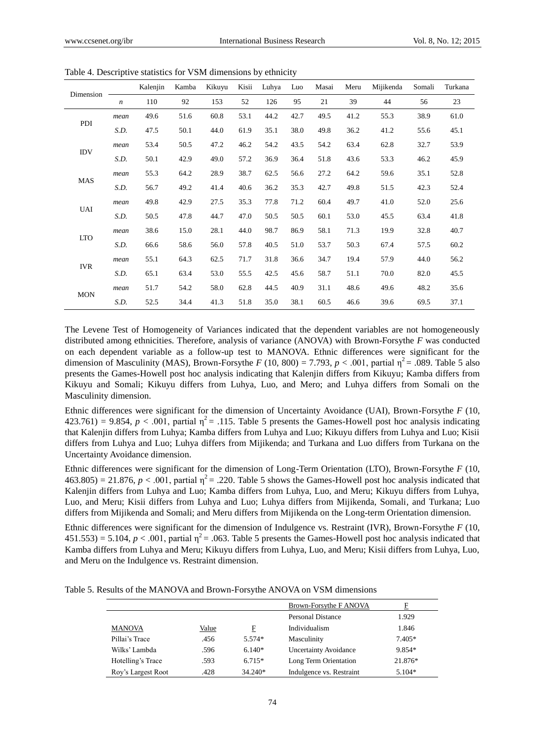|            |                  | Kalenjin | Kamba | Kikuyu | Kisii | Luhya | Luo  | Masai | Meru | Mijikenda | Somali | Turkana |
|------------|------------------|----------|-------|--------|-------|-------|------|-------|------|-----------|--------|---------|
| Dimension  | $\boldsymbol{n}$ | 110      | 92    | 153    | 52    | 126   | 95   | 21    | 39   | 44        | 56     | 23      |
|            | mean             | 49.6     | 51.6  | 60.8   | 53.1  | 44.2  | 42.7 | 49.5  | 41.2 | 55.3      | 38.9   | 61.0    |
| PDI        | S.D.             | 47.5     | 50.1  | 44.0   | 61.9  | 35.1  | 38.0 | 49.8  | 36.2 | 41.2      | 55.6   | 45.1    |
|            | mean             | 53.4     | 50.5  | 47.2   | 46.2  | 54.2  | 43.5 | 54.2  | 63.4 | 62.8      | 32.7   | 53.9    |
| <b>IDV</b> | S.D.             | 50.1     | 42.9  | 49.0   | 57.2  | 36.9  | 36.4 | 51.8  | 43.6 | 53.3      | 46.2   | 45.9    |
|            | mean             | 55.3     | 64.2  | 28.9   | 38.7  | 62.5  | 56.6 | 27.2  | 64.2 | 59.6      | 35.1   | 52.8    |
| <b>MAS</b> | S.D.             | 56.7     | 49.2  | 41.4   | 40.6  | 36.2  | 35.3 | 42.7  | 49.8 | 51.5      | 42.3   | 52.4    |
|            | mean             | 49.8     | 42.9  | 27.5   | 35.3  | 77.8  | 71.2 | 60.4  | 49.7 | 41.0      | 52.0   | 25.6    |
| <b>UAI</b> | S.D.             | 50.5     | 47.8  | 44.7   | 47.0  | 50.5  | 50.5 | 60.1  | 53.0 | 45.5      | 63.4   | 41.8    |
|            | mean             | 38.6     | 15.0  | 28.1   | 44.0  | 98.7  | 86.9 | 58.1  | 71.3 | 19.9      | 32.8   | 40.7    |
| <b>LTO</b> | S.D.             | 66.6     | 58.6  | 56.0   | 57.8  | 40.5  | 51.0 | 53.7  | 50.3 | 67.4      | 57.5   | 60.2    |
|            | mean             | 55.1     | 64.3  | 62.5   | 71.7  | 31.8  | 36.6 | 34.7  | 19.4 | 57.9      | 44.0   | 56.2    |
| <b>IVR</b> | S.D.             | 65.1     | 63.4  | 53.0   | 55.5  | 42.5  | 45.6 | 58.7  | 51.1 | 70.0      | 82.0   | 45.5    |
|            | mean             | 51.7     | 54.2  | 58.0   | 62.8  | 44.5  | 40.9 | 31.1  | 48.6 | 49.6      | 48.2   | 35.6    |
| <b>MON</b> | S.D.             | 52.5     | 34.4  | 41.3   | 51.8  | 35.0  | 38.1 | 60.5  | 46.6 | 39.6      | 69.5   | 37.1    |

Table 4. Descriptive statistics for VSM dimensions by ethnicity

The Levene Test of Homogeneity of Variances indicated that the dependent variables are not homogeneously distributed among ethnicities. Therefore, analysis of variance (ANOVA) with Brown-Forsythe *F* was conducted on each dependent variable as a follow-up test to MANOVA. Ethnic differences were significant for the dimension of Masculinity (MAS), Brown-Forsythe *F* (10, 800) = 7.793,  $p < .001$ , partial  $\eta^2$  = .089. Table 5 also presents the Games-Howell post hoc analysis indicating that Kalenjin differs from Kikuyu; Kamba differs from Kikuyu and Somali; Kikuyu differs from Luhya, Luo, and Mero; and Luhya differs from Somali on the Masculinity dimension.

Ethnic differences were significant for the dimension of Uncertainty Avoidance (UAI), Brown-Forsythe *F* (10,  $423.761$ ) = 9.854,  $p < .001$ , partial  $\eta^2 = .115$ . Table 5 presents the Games-Howell post hoc analysis indicating that Kalenjin differs from Luhya; Kamba differs from Luhya and Luo; Kikuyu differs from Luhya and Luo; Kisii differs from Luhya and Luo; Luhya differs from Mijikenda; and Turkana and Luo differs from Turkana on the Uncertainty Avoidance dimension.

Ethnic differences were significant for the dimension of Long-Term Orientation (LTO), Brown-Forsythe *F* (10,  $463.805$ ) = 21.876,  $p < .001$ , partial  $\eta^2$  = .220. Table 5 shows the Games-Howell post hoc analysis indicated that Kalenjin differs from Luhya and Luo; Kamba differs from Luhya, Luo, and Meru; Kikuyu differs from Luhya, Luo, and Meru; Kisii differs from Luhya and Luo; Luhya differs from Mijikenda, Somali, and Turkana; Luo differs from Mijikenda and Somali; and Meru differs from Mijikenda on the Long-term Orientation dimension.

Ethnic differences were significant for the dimension of Indulgence vs. Restraint (IVR), Brown-Forsythe *F* (10,  $451.553$ ) = 5.104,  $p < .001$ , partial  $\eta^2$  = .063. Table 5 presents the Games-Howell post hoc analysis indicated that Kamba differs from Luhya and Meru; Kikuyu differs from Luhya, Luo, and Meru; Kisii differs from Luhya, Luo, and Meru on the Indulgence vs. Restraint dimension.

Table 5. Results of the MANOVA and Brown-Forsythe ANOVA on VSM dimensions

|                    |       |           | Brown-Forsythe F ANOVA       | F        |
|--------------------|-------|-----------|------------------------------|----------|
|                    |       |           | Personal Distance            | 1.929    |
| <b>MANOVA</b>      | Value | F         | Individualism                | 1.846    |
| Pillai's Trace     | .456  | $5.574*$  | Masculinity                  | $7.405*$ |
| Wilks' Lambda      | .596  | $6.140*$  | <b>Uncertainty Avoidance</b> | 9.854*   |
| Hotelling's Trace  | .593  | $6.715*$  | Long Term Orientation        | 21.876*  |
| Roy's Largest Root | .428  | $34.240*$ | Indulgence vs. Restraint     | $5.104*$ |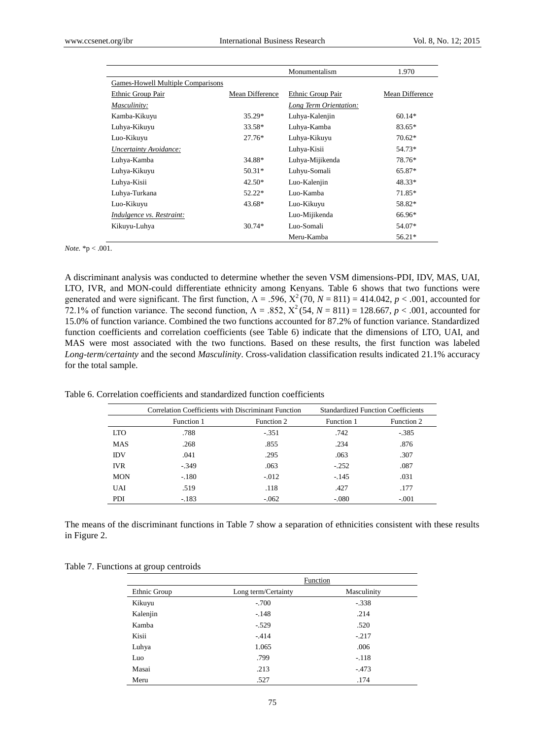|                                   |                 | Monumentalism          | 1.970           |
|-----------------------------------|-----------------|------------------------|-----------------|
| Games-Howell Multiple Comparisons |                 |                        |                 |
| Ethnic Group Pair                 | Mean Difference | Ethnic Group Pair      | Mean Difference |
| Masculinity:                      |                 | Long Term Orientation: |                 |
| Kamba-Kikuyu                      | $35.29*$        | Luhya-Kalenjin         | $60.14*$        |
| Luhya-Kikuyu                      | $33.58*$        | Luhya-Kamba            | 83.65*          |
| Luo-Kikuyu                        | $27.76*$        | Luhya-Kikuyu           | $70.62*$        |
| Uncertainty Avoidance:            |                 | Luhya-Kisii            | 54.73*          |
| Luhya-Kamba                       | 34.88*          | Luhya-Mijikenda        | 78.76*          |
| Luhya-Kikuyu                      | $50.31*$        | Luhyu-Somali           | 65.87*          |
| Luhya-Kisii                       | $42.50*$        | Luo-Kalenjin           | $48.33*$        |
| Luhya-Turkana                     | $52.22*$        | Luo-Kamba              | 71.85*          |
| Luo-Kikuyu                        | $43.68*$        | Luo-Kikuyu             | 58.82*          |
| Indulgence vs. Restraint:         |                 | Luo-Mijikenda          | 66.96*          |
| Kikuyu-Luhya                      | $30.74*$        | Luo-Somali             | 54.07*          |
|                                   |                 | Meru-Kamba             | $56.21*$        |

#### *Note.* \*p < .001.

A discriminant analysis was conducted to determine whether the seven VSM dimensions-PDI, IDV, MAS, UAI, LTO, IVR, and MON-could differentiate ethnicity among Kenyans. Table 6 shows that two functions were generated and were significant. The first function,  $\Lambda = .596$ ,  $X^2(70, N = 811) = 414.042$ ,  $p < .001$ , accounted for 72.1% of function variance. The second function,  $\Lambda = .852$ ,  $X^2$  (54,  $N = 811$ ) = 128.667,  $p < .001$ , accounted for 15.0% of function variance. Combined the two functions accounted for 87.2% of function variance. Standardized function coefficients and correlation coefficients (see Table 6) indicate that the dimensions of LTO, UAI, and MAS were most associated with the two functions. Based on these results, the first function was labeled *Long-term/certainty* and the second *Masculinity*. Cross-validation classification results indicated 21.1% accuracy for the total sample.

Table 6. Correlation coefficients and standardized function coefficients

|            | Correlation Coefficients with Discriminant Function |            | <b>Standardized Function Coefficients</b> |            |  |
|------------|-----------------------------------------------------|------------|-------------------------------------------|------------|--|
|            | Function 1                                          | Function 2 | Function 1                                | Function 2 |  |
| <b>LTO</b> | .788                                                | $-.351$    | .742                                      | $-.385$    |  |
| <b>MAS</b> | .268                                                | .855       | .234                                      | .876       |  |
| <b>IDV</b> | .041                                                | .295       | .063                                      | .307       |  |
| <b>IVR</b> | $-.349$                                             | .063       | $-.252$                                   | .087       |  |
| <b>MON</b> | $-.180$                                             | $-0.012$   | $-.145$                                   | .031       |  |
| UAI        | .519                                                | .118       | .427                                      | .177       |  |
| PDI        | $-.183$                                             | $-062$     | $-.080$                                   | $-.001$    |  |

The means of the discriminant functions in Table 7 show a separation of ethnicities consistent with these results in Figure 2.

|              | Function            |             |  |  |  |  |
|--------------|---------------------|-------------|--|--|--|--|
| Ethnic Group | Long term/Certainty | Masculinity |  |  |  |  |
| Kikuyu       | $-.700$             | $-.338$     |  |  |  |  |
| Kalenjin     | $-.148$             | .214        |  |  |  |  |
| Kamba        | $-.529$             | .520        |  |  |  |  |
| Kisii        | $-414$              | $-.217$     |  |  |  |  |
| Luhya        | 1.065               | .006        |  |  |  |  |
| Luo          | .799                | $-.118$     |  |  |  |  |
| Masai        | .213                | $-473$      |  |  |  |  |
| Meru         | .527                | .174        |  |  |  |  |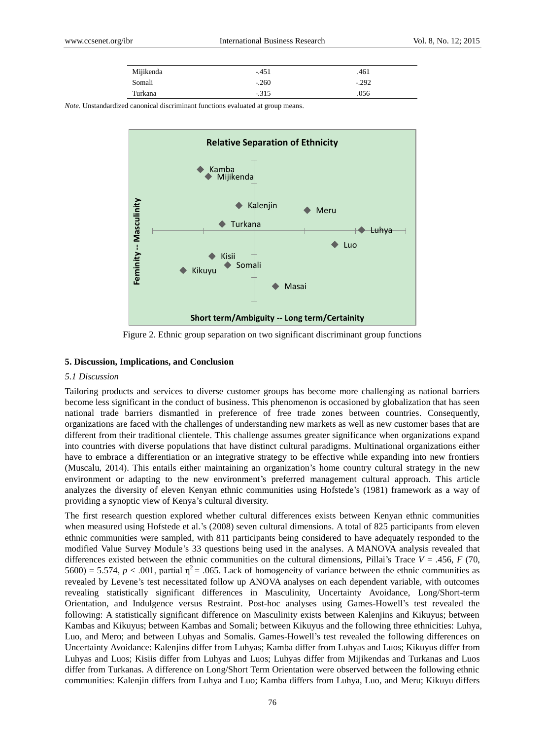| Mijikenda | $-451$  | .461    |
|-----------|---------|---------|
| Somali    | $-.260$ | $-.292$ |
| Turkana   | $-315$  | .056    |

*Note.* Unstandardized canonical discriminant functions evaluated at group means.



Figure 2. Ethnic group separation on two significant discriminant group functions

#### **5. Discussion, Implications, and Conclusion**

#### *5.1 Discussion*

Tailoring products and services to diverse customer groups has become more challenging as national barriers become less significant in the conduct of business. This phenomenon is occasioned by globalization that has seen national trade barriers dismantled in preference of free trade zones between countries. Consequently, organizations are faced with the challenges of understanding new markets as well as new customer bases that are different from their traditional clientele. This challenge assumes greater significance when organizations expand into countries with diverse populations that have distinct cultural paradigms. Multinational organizations either have to embrace a differentiation or an integrative strategy to be effective while expanding into new frontiers (Muscalu, 2014). This entails either maintaining an organization's home country cultural strategy in the new environment or adapting to the new environment's preferred management cultural approach. This article analyzes the diversity of eleven Kenyan ethnic communities using Hofstede's (1981) framework as a way of providing a synoptic view of Kenya's cultural diversity.

The first research question explored whether cultural differences exists between Kenyan ethnic communities when measured using Hofstede et al.'s (2008) seven cultural dimensions. A total of 825 participants from eleven ethnic communities were sampled, with 811 participants being considered to have adequately responded to the modified Value Survey Module's 33 questions being used in the analyses. A MANOVA analysis revealed that differences existed between the ethnic communities on the cultural dimensions, Pillai's Trace  $V = .456$ ,  $F(70)$ ,  $5600$  = 5.574,  $p < .001$ , partial  $\eta^2$  = .065. Lack of homogeneity of variance between the ethnic communities as revealed by Levene's test necessitated follow up ANOVA analyses on each dependent variable, with outcomes revealing statistically significant differences in Masculinity, Uncertainty Avoidance, Long/Short-term Orientation, and Indulgence versus Restraint. Post-hoc analyses using Games-Howell's test revealed the following: A statistically significant difference on Masculinity exists between Kalenjins and Kikuyus; between Kambas and Kikuyus; between Kambas and Somali; between Kikuyus and the following three ethnicities: Luhya, Luo, and Mero; and between Luhyas and Somalis. Games-Howell's test revealed the following differences on Uncertainty Avoidance: Kalenjins differ from Luhyas; Kamba differ from Luhyas and Luos; Kikuyus differ from Luhyas and Luos; Kisiis differ from Luhyas and Luos; Luhyas differ from Mijikendas and Turkanas and Luos differ from Turkanas. A difference on Long/Short Term Orientation were observed between the following ethnic communities: Kalenjin differs from Luhya and Luo; Kamba differs from Luhya, Luo, and Meru; Kikuyu differs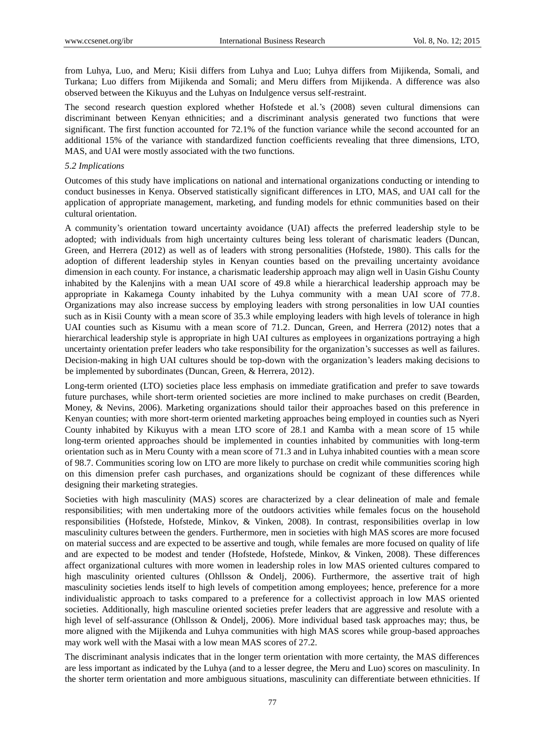from Luhya, Luo, and Meru; Kisii differs from Luhya and Luo; Luhya differs from Mijikenda, Somali, and Turkana; Luo differs from Mijikenda and Somali; and Meru differs from Mijikenda. A difference was also observed between the Kikuyus and the Luhyas on Indulgence versus self-restraint.

The second research question explored whether Hofstede et al.'s (2008) seven cultural dimensions can discriminant between Kenyan ethnicities; and a discriminant analysis generated two functions that were significant. The first function accounted for 72.1% of the function variance while the second accounted for an additional 15% of the variance with standardized function coefficients revealing that three dimensions, LTO, MAS, and UAI were mostly associated with the two functions.

#### *5.2 Implications*

Outcomes of this study have implications on national and international organizations conducting or intending to conduct businesses in Kenya. Observed statistically significant differences in LTO, MAS, and UAI call for the application of appropriate management, marketing, and funding models for ethnic communities based on their cultural orientation.

A community's orientation toward uncertainty avoidance (UAI) affects the preferred leadership style to be adopted; with individuals from high uncertainty cultures being less tolerant of charismatic leaders (Duncan, Green, and Herrera (2012) as well as of leaders with strong personalities (Hofstede, 1980). This calls for the adoption of different leadership styles in Kenyan counties based on the prevailing uncertainty avoidance dimension in each county. For instance, a charismatic leadership approach may align well in Uasin Gishu County inhabited by the Kalenjins with a mean UAI score of 49.8 while a hierarchical leadership approach may be appropriate in Kakamega County inhabited by the Luhya community with a mean UAI score of 77.8. Organizations may also increase success by employing leaders with strong personalities in low UAI counties such as in Kisii County with a mean score of 35.3 while employing leaders with high levels of tolerance in high UAI counties such as Kisumu with a mean score of 71.2. Duncan, Green, and Herrera (2012) notes that a hierarchical leadership style is appropriate in high UAI cultures as employees in organizations portraying a high uncertainty orientation prefer leaders who take responsibility for the organization's successes as well as failures. Decision-making in high UAI cultures should be top-down with the organization's leaders making decisions to be implemented by subordinates (Duncan, Green, & Herrera, 2012).

Long-term oriented (LTO) societies place less emphasis on immediate gratification and prefer to save towards future purchases, while short-term oriented societies are more inclined to make purchases on credit (Bearden, Money, & Nevins, 2006). Marketing organizations should tailor their approaches based on this preference in Kenyan counties; with more short-term oriented marketing approaches being employed in counties such as Nyeri County inhabited by Kikuyus with a mean LTO score of 28.1 and Kamba with a mean score of 15 while long-term oriented approaches should be implemented in counties inhabited by communities with long-term orientation such as in Meru County with a mean score of 71.3 and in Luhya inhabited counties with a mean score of 98.7. Communities scoring low on LTO are more likely to purchase on credit while communities scoring high on this dimension prefer cash purchases, and organizations should be cognizant of these differences while designing their marketing strategies.

Societies with high masculinity (MAS) scores are characterized by a clear delineation of male and female responsibilities; with men undertaking more of the outdoors activities while females focus on the household responsibilities (Hofstede, Hofstede, Minkov, & Vinken, 2008). In contrast, responsibilities overlap in low masculinity cultures between the genders. Furthermore, men in societies with high MAS scores are more focused on material success and are expected to be assertive and tough, while females are more focused on quality of life and are expected to be modest and tender (Hofstede, Hofstede, Minkov, & Vinken, 2008). These differences affect organizational cultures with more women in leadership roles in low MAS oriented cultures compared to high masculinity oriented cultures (Ohllsson & Ondelj, 2006). Furthermore, the assertive trait of high masculinity societies lends itself to high levels of competition among employees; hence, preference for a more individualistic approach to tasks compared to a preference for a collectivist approach in low MAS oriented societies. Additionally, high masculine oriented societies prefer leaders that are aggressive and resolute with a high level of self-assurance (Ohllsson & Ondelj, 2006). More individual based task approaches may; thus, be more aligned with the Mijikenda and Luhya communities with high MAS scores while group-based approaches may work well with the Masai with a low mean MAS scores of 27.2.

The discriminant analysis indicates that in the longer term orientation with more certainty, the MAS differences are less important as indicated by the Luhya (and to a lesser degree, the Meru and Luo) scores on masculinity. In the shorter term orientation and more ambiguous situations, masculinity can differentiate between ethnicities. If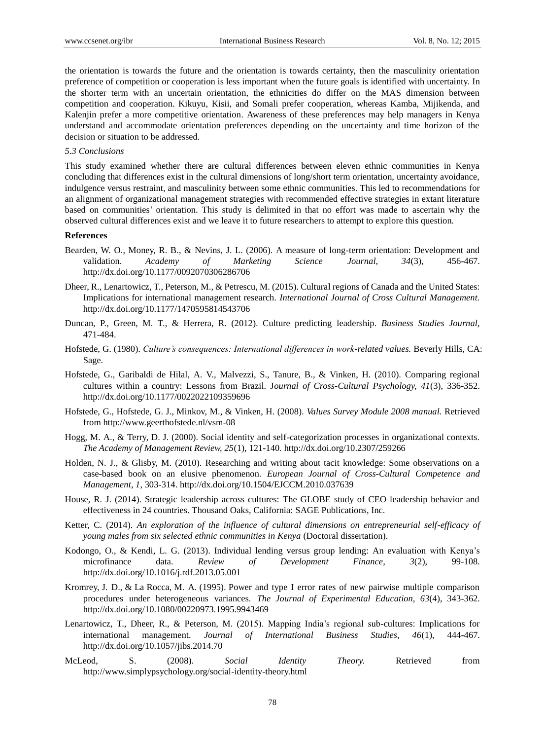the orientation is towards the future and the orientation is towards certainty, then the masculinity orientation preference of competition or cooperation is less important when the future goals is identified with uncertainty. In the shorter term with an uncertain orientation, the ethnicities do differ on the MAS dimension between competition and cooperation. Kikuyu, Kisii, and Somali prefer cooperation, whereas Kamba, Mijikenda, and Kalenjin prefer a more competitive orientation. Awareness of these preferences may help managers in Kenya understand and accommodate orientation preferences depending on the uncertainty and time horizon of the decision or situation to be addressed.

#### *5.3 Conclusions*

This study examined whether there are cultural differences between eleven ethnic communities in Kenya concluding that differences exist in the cultural dimensions of long/short term orientation, uncertainty avoidance, indulgence versus restraint, and masculinity between some ethnic communities. This led to recommendations for an alignment of organizational management strategies with recommended effective strategies in extant literature based on communities' orientation. This study is delimited in that no effort was made to ascertain why the observed cultural differences exist and we leave it to future researchers to attempt to explore this question.

#### **References**

- Bearden, W. O., Money, R. B., & Nevins, J. L. (2006). A measure of long-term orientation: Development and validation. *Academy of Marketing Science Journal, 34*(3), 456-467. http://dx.doi.org/10.1177/0092070306286706
- Dheer, R., Lenartowicz, T., Peterson, M., & Petrescu, M. (2015). Cultural regions of Canada and the United States: Implications for international management research. *International Journal of Cross Cultural Management.* http://dx.doi.org/10.1177/1470595814543706
- Duncan, P., Green, M. T., & Herrera, R. (2012). Culture predicting leadership. *Business Studies Journal,*  471-484.
- Hofstede, G. (1980). *Culture's consequences: International differences in work-related values.* Beverly Hills, CA: Sage.
- Hofstede, G., Garibaldi de Hilal, A. V., Malvezzi, S., Tanure, B., & Vinken, H. (2010). Comparing regional cultures within a country: Lessons from Brazil. J*ournal of Cross-Cultural Psychology, 41*(3), 336-352. http://dx.doi.org/10.1177/0022022109359696
- Hofstede, G., Hofstede, G. J., Minkov, M., & Vinken, H. (2008). *Values Survey Module 2008 manual.* Retrieved from http://www.geerthofstede.nl/vsm-08
- Hogg, M. A., & Terry, D. J. (2000). Social identity and self-categorization processes in organizational contexts. *The Academy of Management Review, 25*(1), 121-140. http://dx.doi.org/10.2307/259266
- Holden, N. J., & Glisby, M. (2010). Researching and writing about tacit knowledge: Some observations on a case-based book on an elusive phenomenon. *European Journal of Cross-Cultural Competence and Management, 1*, 303-314. http://dx.doi.org/10.1504/EJCCM.2010.037639
- House, R. J. (2014). Strategic leadership across cultures: The GLOBE study of CEO leadership behavior and effectiveness in 24 countries. Thousand Oaks, California: SAGE Publications, Inc.
- Ketter, C. (2014). *An exploration of the influence of cultural dimensions on entrepreneurial self-efficacy of young males from six selected ethnic communities in Kenya* (Doctoral dissertation).
- Kodongo, O., & Kendi, L. G. (2013). Individual lending versus group lending: An evaluation with Kenya's microfinance data. *Review of Development Finance, 3*(2), 99-108. http://dx.doi.org/10.1016/j.rdf.2013.05.001
- Kromrey, J. D., & La Rocca, M. A. (1995). Power and type I error rates of new pairwise multiple comparison procedures under heterogeneous variances. *The Journal of Experimental Education, 63*(4), 343-362. http://dx.doi.org/10.1080/00220973.1995.9943469
- Lenartowicz, T., Dheer, R., & Peterson, M. (2015). Mapping India's regional sub-cultures: Implications for international management. *Journal of International Business Studies, 46*(1), 444-467. http://dx.doi.org/10.1057/jibs.2014.70
- McLeod, S. (2008). *Social Identity Theory.* Retrieved from http://www.simplypsychology.org/social-identity-theory.html